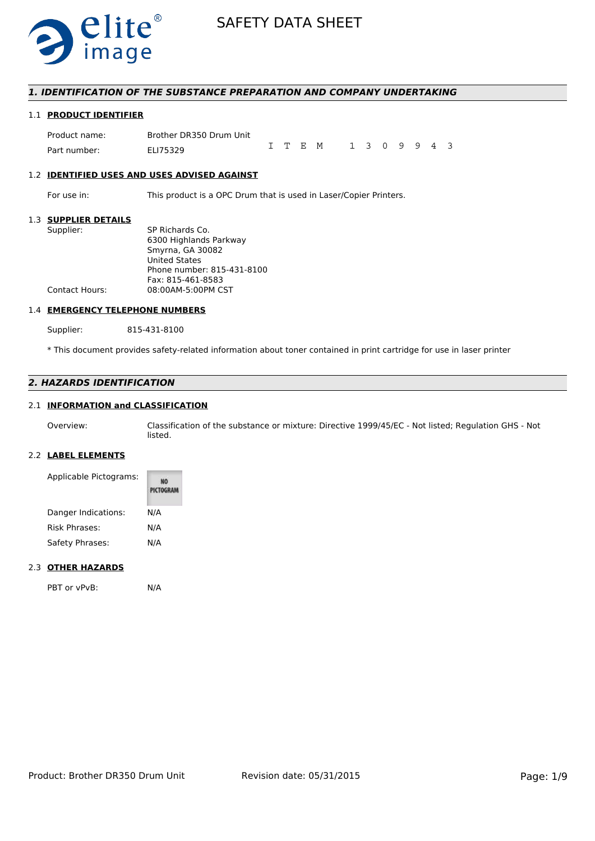

## *1. IDENTIFICATION OF THE SUBSTANCE PREPARATION AND COMPANY UNDERTAKING*

## 1.1 **PRODUCT IDENTIFIER**

Product name: Brother DR350 Drum Unit Part number: FLI75329 ITEM 1309943

#### 1.2 **IDENTIFIED USES AND USES ADVISED AGAINST**

For use in: This product is a OPC Drum that is used in Laser/Copier Printers.

## 1.3 **SUPPLIER DETAILS**

| SUPPLIER DETAILS      |                            |
|-----------------------|----------------------------|
| Supplier:             | SP Richards Co.            |
|                       | 6300 Highlands Parkway     |
|                       | Smyrna, GA 30082           |
|                       | <b>United States</b>       |
|                       | Phone number: 815-431-8100 |
|                       | Fax: 815-461-8583          |
| <b>Contact Hours:</b> | 08:00AM-5:00PM CST         |
|                       |                            |

# 1.4 **EMERGENCY TELEPHONE NUMBERS**

Supplier: 815-431-8100

\* This document provides safety-related information about toner contained in print cartridge for use in laser printer

## *2. HAZARDS IDENTIFICATION*

## 2.1 **INFORMATION and CLASSIFICATION**

Overview: Classification of the substance or mixture: Directive 1999/45/EC - Not listed; Regulation GHS - Not listed.

## 2.2 **LABEL ELEMENTS**

| Applicable Pictograms: | <b>PICTOGRAM</b> |
|------------------------|------------------|
| Danger Indications:    | N/A              |
| <b>Risk Phrases:</b>   | N/A              |
| Safety Phrases:        | N/A              |

## 2.3 **OTHER HAZARDS**

PBT or vPvB: N/A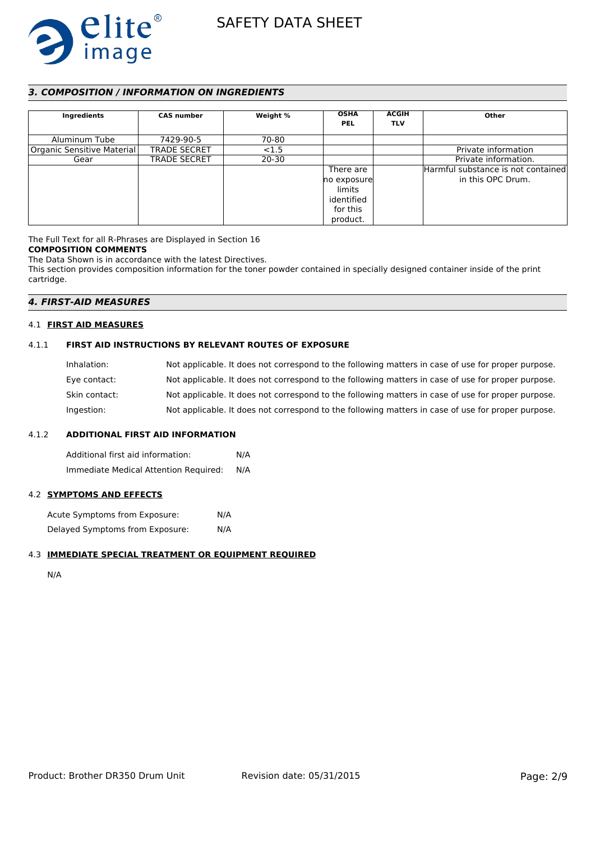

## *3. COMPOSITION / INFORMATION ON INGREDIENTS*

| Ingredients                | <b>CAS number</b>   | Weight %  | <b>OSHA</b><br><b>PEL</b>                                                | <b>ACGIH</b><br><b>TLV</b> | Other                                                   |
|----------------------------|---------------------|-----------|--------------------------------------------------------------------------|----------------------------|---------------------------------------------------------|
| Aluminum Tube              | 7429-90-5           | 70-80     |                                                                          |                            |                                                         |
| Organic Sensitive Material | <b>TRADE SECRET</b> | < 1.5     |                                                                          |                            | Private information                                     |
| Gear                       | <b>TRADE SECRET</b> | $20 - 30$ |                                                                          |                            | Private information.                                    |
|                            |                     |           | There are<br>no exposure<br>limits<br>identified<br>for this<br>product. |                            | Harmful substance is not contained<br>in this OPC Drum. |

The Full Text for all R-Phrases are Displayed in Section 16

## **COMPOSITION COMMENTS**

The Data Shown is in accordance with the latest Directives.

This section provides composition information for the toner powder contained in specially designed container inside of the print cartridge.

## *4. FIRST-AID MEASURES*

## 4.1 **FIRST AID MEASURES**

## 4.1.1 **FIRST AID INSTRUCTIONS BY RELEVANT ROUTES OF EXPOSURE**

| Inhalation:   | Not applicable. It does not correspond to the following matters in case of use for proper purpose. |
|---------------|----------------------------------------------------------------------------------------------------|
| Eye contact:  | Not applicable. It does not correspond to the following matters in case of use for proper purpose. |
| Skin contact: | Not applicable. It does not correspond to the following matters in case of use for proper purpose. |
| Ingestion:    | Not applicable. It does not correspond to the following matters in case of use for proper purpose. |

## 4.1.2 **ADDITIONAL FIRST AID INFORMATION**

Additional first aid information: N/A Immediate Medical Attention Required: N/A

## 4.2 **SYMPTOMS AND EFFECTS**

Acute Symptoms from Exposure: N/A Delayed Symptoms from Exposure: N/A

## 4.3 **IMMEDIATE SPECIAL TREATMENT OR EQUIPMENT REQUIRED**

N/A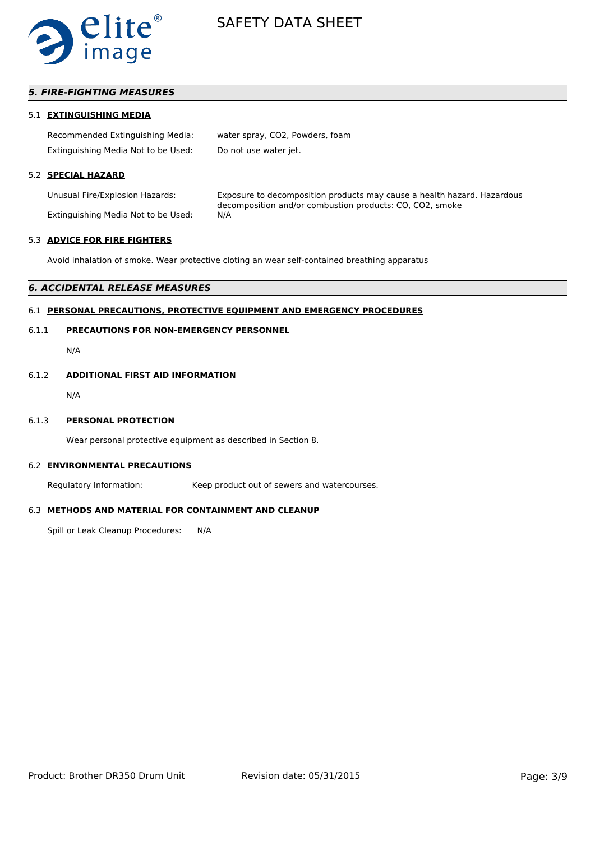

## *5. FIRE-FIGHTING MEASURES*

## 5.1 **EXTINGUISHING MEDIA**

| Recommended Extinguishing Media:    | water spray, CO2, Powders, foam |
|-------------------------------------|---------------------------------|
| Extinguishing Media Not to be Used: | Do not use water jet.           |

## 5.2 **SPECIAL HAZARD**

Extinguishing Media Not to be Used:

Unusual Fire/Explosion Hazards: Exposure to decomposition products may cause a health hazard. Hazardous decomposition and/or combustion products: CO, CO2, smoke

#### 5.3 **ADVICE FOR FIRE FIGHTERS**

Avoid inhalation of smoke. Wear protective cloting an wear self-contained breathing apparatus

#### *6. ACCIDENTAL RELEASE MEASURES*

#### 6.1 **PERSONAL PRECAUTIONS, PROTECTIVE EQUIPMENT AND EMERGENCY PROCEDURES**

## 6.1.1 **PRECAUTIONS FOR NON-EMERGENCY PERSONNEL**

N/A

#### 6.1.2 **ADDITIONAL FIRST AID INFORMATION**

N/A

#### 6.1.3 **PERSONAL PROTECTION**

Wear personal protective equipment as described in Section 8.

#### 6.2 **ENVIRONMENTAL PRECAUTIONS**

Regulatory Information: Keep product out of sewers and watercourses.

#### 6.3 **METHODS AND MATERIAL FOR CONTAINMENT AND CLEANUP**

Spill or Leak Cleanup Procedures: N/A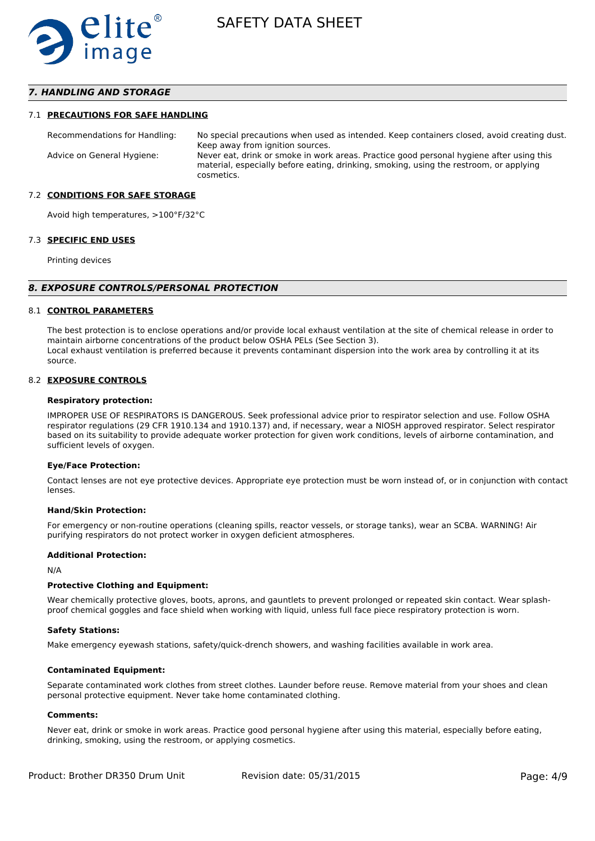

## *7. HANDLING AND STORAGE*

### 7.1 **PRECAUTIONS FOR SAFE HANDLING**

Recommendations for Handling: No special precautions when used as intended. Keep containers closed, avoid creating dust. Keep away from ignition sources. Advice on General Hygiene: Never eat, drink or smoke in work areas. Practice good personal hygiene after using this material, especially before eating, drinking, smoking, using the restroom, or applying cosmetics.

#### 7.2 **CONDITIONS FOR SAFE STORAGE**

Avoid high temperatures, >100°F/32°C

#### 7.3 **SPECIFIC END USES**

Printing devices

#### *8. EXPOSURE CONTROLS/PERSONAL PROTECTION*

#### 8.1 **CONTROL PARAMETERS**

The best protection is to enclose operations and/or provide local exhaust ventilation at the site of chemical release in order to maintain airborne concentrations of the product below OSHA PELs (See Section 3). Local exhaust ventilation is preferred because it prevents contaminant dispersion into the work area by controlling it at its source.

#### 8.2 **EXPOSURE CONTROLS**

#### **Respiratory protection:**

IMPROPER USE OF RESPIRATORS IS DANGEROUS. Seek professional advice prior to respirator selection and use. Follow OSHA respirator regulations (29 CFR 1910.134 and 1910.137) and, if necessary, wear a NIOSH approved respirator. Select respirator based on its suitability to provide adequate worker protection for given work conditions, levels of airborne contamination, and sufficient levels of oxygen.

#### **Eye/Face Protection:**

Contact lenses are not eye protective devices. Appropriate eye protection must be worn instead of, or in conjunction with contact lenses.

#### **Hand/Skin Protection:**

For emergency or non-routine operations (cleaning spills, reactor vessels, or storage tanks), wear an SCBA. WARNING! Air purifying respirators do not protect worker in oxygen deficient atmospheres.

## **Additional Protection:**

N/A

## **Protective Clothing and Equipment:**

Wear chemically protective gloves, boots, aprons, and gauntlets to prevent prolonged or repeated skin contact. Wear splashproof chemical goggles and face shield when working with liquid, unless full face piece respiratory protection is worn.

#### **Safety Stations:**

Make emergency eyewash stations, safety/quick-drench showers, and washing facilities available in work area.

### **Contaminated Equipment:**

Separate contaminated work clothes from street clothes. Launder before reuse. Remove material from your shoes and clean personal protective equipment. Never take home contaminated clothing.

## **Comments:**

Never eat, drink or smoke in work areas. Practice good personal hygiene after using this material, especially before eating, drinking, smoking, using the restroom, or applying cosmetics.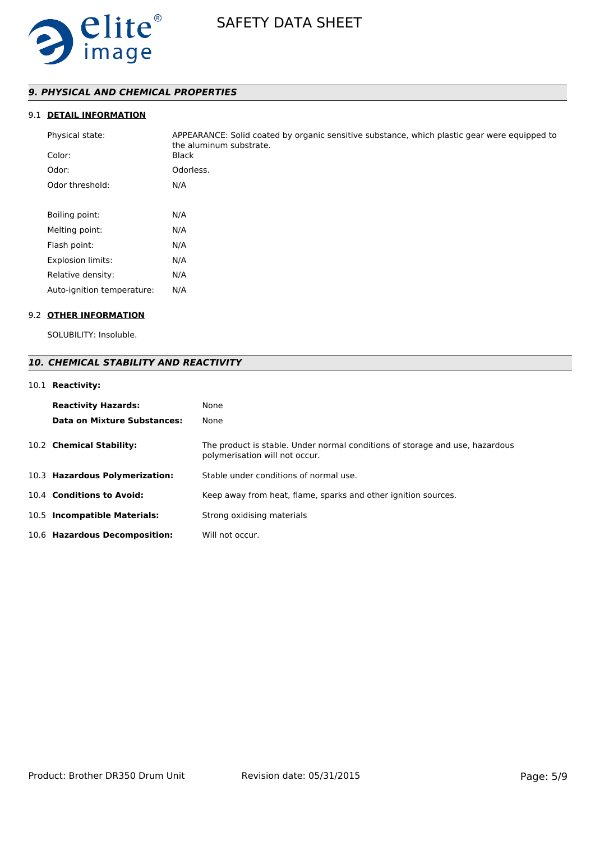

# *9. PHYSICAL AND CHEMICAL PROPERTIES*

# 9.1 **DETAIL INFORMATION**

| Physical state:<br>Color:  | APPEARANCE: Solid coated by organic sensitive substance, which plastic gear were equipped to<br>the aluminum substrate.<br><b>Black</b> |
|----------------------------|-----------------------------------------------------------------------------------------------------------------------------------------|
| Odor:                      | Odorless.                                                                                                                               |
| Odor threshold:            | N/A                                                                                                                                     |
|                            |                                                                                                                                         |
| Boiling point:             | N/A                                                                                                                                     |
| Melting point:             | N/A                                                                                                                                     |
| Flash point:               | N/A                                                                                                                                     |
| <b>Explosion limits:</b>   | N/A                                                                                                                                     |
| Relative density:          | N/A                                                                                                                                     |
| Auto-ignition temperature: | N/A                                                                                                                                     |

# 9.2 **OTHER INFORMATION**

SOLUBILITY: Insoluble.

# *10. CHEMICAL STABILITY AND REACTIVITY*

## 10.1 **Reactivity:**

| <b>Reactivity Hazards:</b>     | None                                                                                                           |
|--------------------------------|----------------------------------------------------------------------------------------------------------------|
| Data on Mixture Substances:    | None                                                                                                           |
| 10.2 Chemical Stability:       | The product is stable. Under normal conditions of storage and use, hazardous<br>polymerisation will not occur. |
| 10.3 Hazardous Polymerization: | Stable under conditions of normal use.                                                                         |
| 10.4 Conditions to Avoid:      | Keep away from heat, flame, sparks and other ignition sources.                                                 |
| 10.5 Incompatible Materials:   | Strong oxidising materials                                                                                     |
| 10.6 Hazardous Decomposition:  | Will not occur.                                                                                                |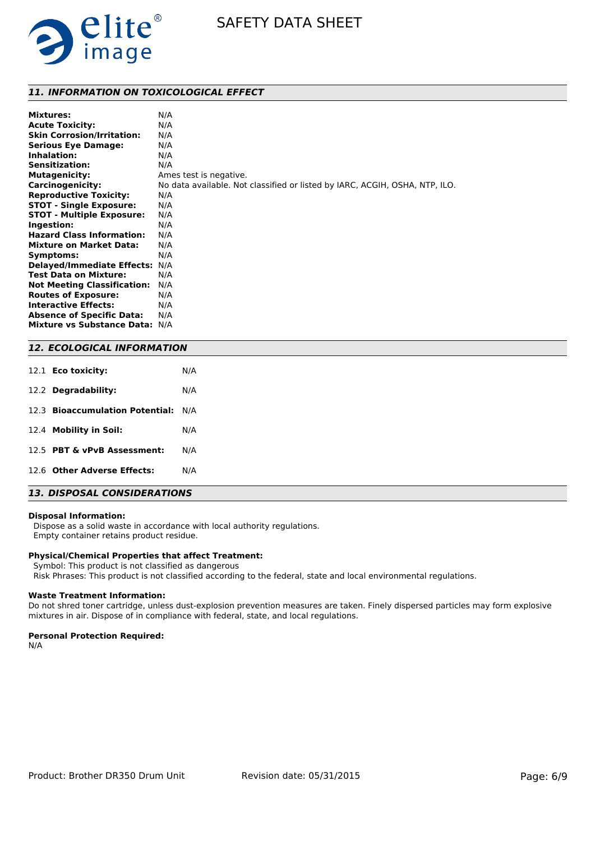

## *11. INFORMATION ON TOXICOLOGICAL EFFECT*

| <b>Mixtures:</b>                   | N/A                                                                         |
|------------------------------------|-----------------------------------------------------------------------------|
| <b>Acute Toxicity:</b>             | N/A                                                                         |
| <b>Skin Corrosion/Irritation:</b>  | N/A                                                                         |
| <b>Serious Eye Damage:</b>         | N/A                                                                         |
| Inhalation:                        | N/A                                                                         |
| <b>Sensitization:</b>              | N/A                                                                         |
| <b>Mutagenicity:</b>               | Ames test is negative.                                                      |
| <b>Carcinogenicity:</b>            | No data available. Not classified or listed by IARC, ACGIH, OSHA, NTP, ILO. |
| <b>Reproductive Toxicity:</b>      | N/A                                                                         |
| <b>STOT - Single Exposure:</b>     | N/A                                                                         |
| <b>STOT - Multiple Exposure:</b>   | N/A                                                                         |
| Ingestion:                         | N/A                                                                         |
| <b>Hazard Class Information:</b>   | N/A                                                                         |
| <b>Mixture on Market Data:</b>     | N/A                                                                         |
| Symptoms:                          | N/A                                                                         |
| <b>Delayed/Immediate Effects:</b>  | N/A                                                                         |
| <b>Test Data on Mixture:</b>       | N/A                                                                         |
| <b>Not Meeting Classification:</b> | N/A                                                                         |
| <b>Routes of Exposure:</b>         | N/A                                                                         |
| <b>Interactive Effects:</b>        | N/A                                                                         |
| <b>Absence of Specific Data:</b>   | N/A                                                                         |
| Mixture vs Substance Data: N/A     |                                                                             |

## *12. ECOLOGICAL INFORMATION*

| 12.1 <b>Eco toxicity:</b>           | N/A |
|-------------------------------------|-----|
| 12.2 Degradability:                 | N/A |
| 12.3 Bioaccumulation Potential: N/A |     |
| 12.4 Mobility in Soil:              | N/A |
| 12.5 PBT & vPvB Assessment:         | N/A |
| 12.6 Other Adverse Effects:         | N/A |

# *13. DISPOSAL CONSIDERATIONS*

#### **Disposal Information:**

 Dispose as a solid waste in accordance with local authority regulations. Empty container retains product residue.

# **Physical/Chemical Properties that affect Treatment:**

Symbol: This product is not classified as dangerous

Risk Phrases: This product is not classified according to the federal, state and local environmental regulations.

## **Waste Treatment Information:**

Do not shred toner cartridge, unless dust-explosion prevention measures are taken. Finely dispersed particles may form explosive mixtures in air. Dispose of in compliance with federal, state, and local regulations.

### **Personal Protection Required:**

N/A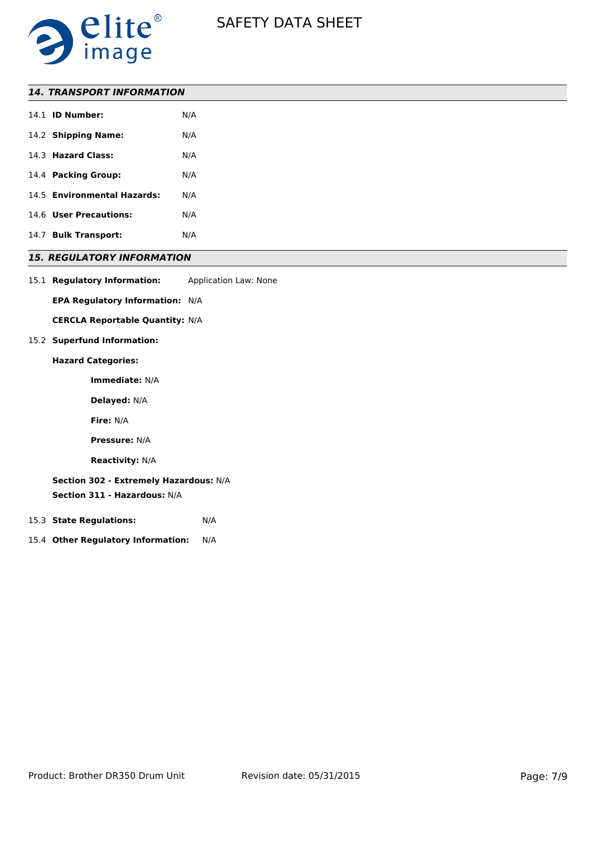

| <b>14. TRANSPORT INFORMATION</b>  |     |  |
|-----------------------------------|-----|--|
| 14.1 <b>ID Number:</b>            | N/A |  |
| 14.2 Shipping Name:               | N/A |  |
| 14.3 Hazard Class:                | N/A |  |
| 14.4 Packing Group:               | N/A |  |
| 14.5 Environmental Hazards:       | N/A |  |
| 14.6 User Precautions:            | N/A |  |
| 14.7 Bulk Transport:              | N/A |  |
| <b>15. REGULATORY INFORMATION</b> |     |  |

15.1 **Regulatory Information:** Application Law: None

**EPA Regulatory Information:** N/A

**CERCLA Reportable Quantity:** N/A

## 15.2 **Superfund Information:**

## **Hazard Categories:**

**Immediate:** N/A

**Delayed:** N/A

**Fire:** N/A

**Pressure:** N/A

**Reactivity:** N/A

**Section 302 - Extremely Hazardous:** N/A

**Section 311 - Hazardous:** N/A

- 15.3 **State Regulations:** N/A
- 15.4 **Other Regulatory Information:** N/A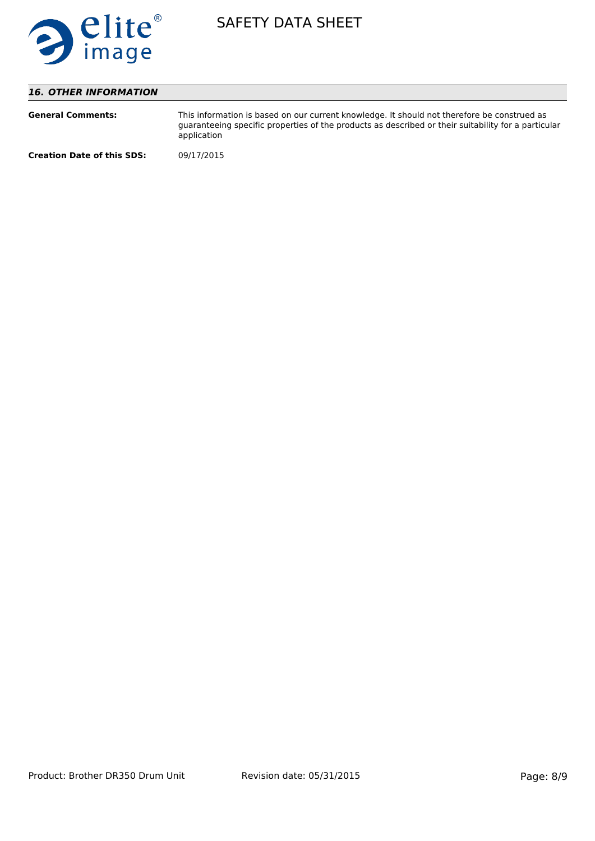

# *16. OTHER INFORMATION*

| <b>General Comments:</b>          | This information is based on our current knowledge. It should not therefore be construed as<br>quaranteeing specific properties of the products as described or their suitability for a particular<br>application |
|-----------------------------------|-------------------------------------------------------------------------------------------------------------------------------------------------------------------------------------------------------------------|
| <b>Creation Date of this SDS:</b> | 09/17/2015                                                                                                                                                                                                        |